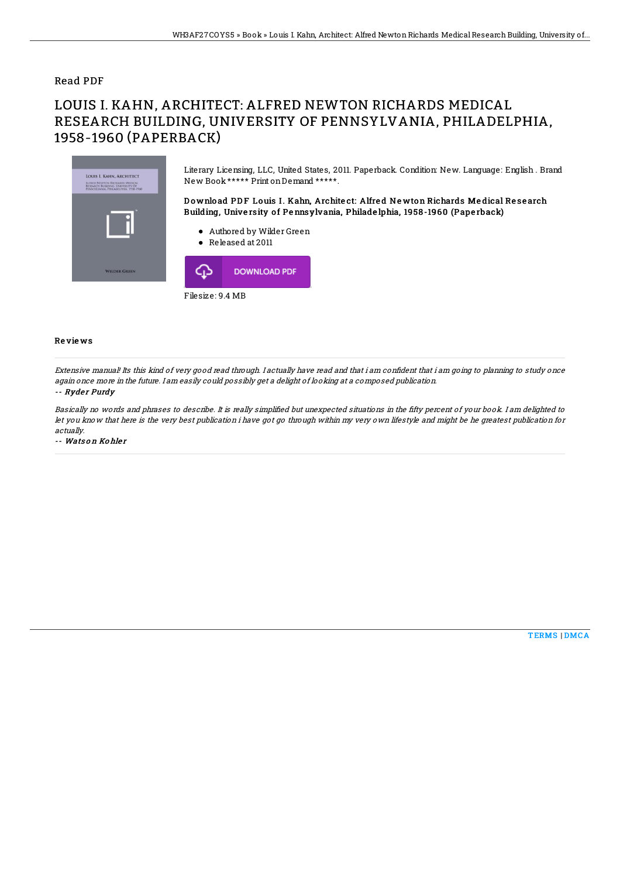### Read PDF

# LOUIS I. KAHN, ARCHITECT: ALFRED NEWTON RICHARDS MEDICAL RESEARCH BUILDING, UNIVERSITY OF PENNSYLVANIA, PHILADELPHIA, 1958-1960 (PAPERBACK)



Literary Licensing, LLC, United States, 2011. Paperback. Condition: New. Language: English . Brand New Book\*\*\*\*\* Print onDemand \*\*\*\*\*.

Download PDF Louis I. Kahn, Architect: Alfred Newton Richards Medical Research Building, University of Pennsylvania, Philadelphia, 1958-1960 (Paperback)

- Authored by Wilder Green
- Released at 2011



#### Re vie ws

Extensive manual! Its this kind of very good read through. I actually have read and that i am confident that i am going to planning to study once again once more in the future. I am easily could possibly get <sup>a</sup> delight of looking at <sup>a</sup> composed publication.

#### -- Ryder Purdy

Basically no words and phrases to describe. It is really simplified but unexpected situations in the fifty percent of your book. I am delighted to let you know that here is the very best publication i have got go through within my very own lifestyle and might be he greatest publication for actually.

-- Wats on Kohler